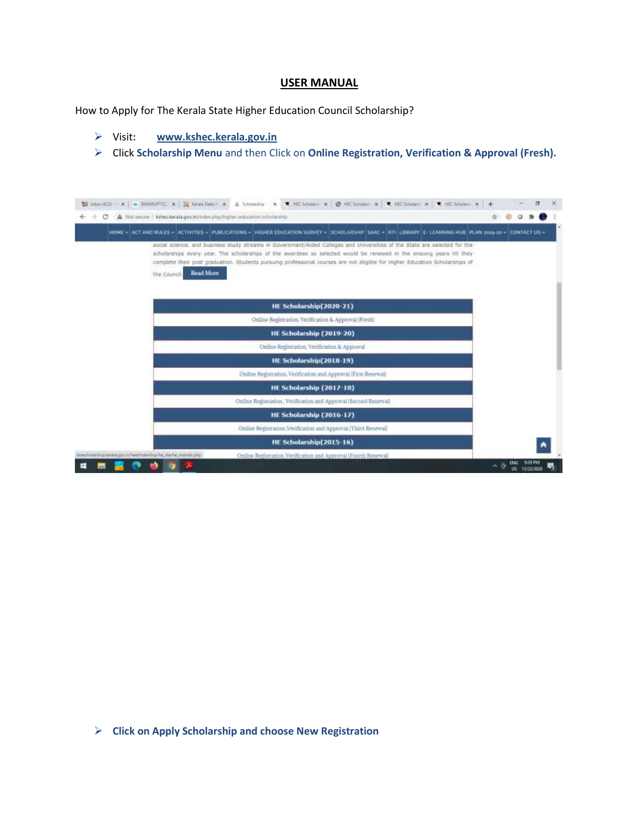#### **USER MANUAL**

How to Apply for The Kerala State Higher Education Council Scholarship?

- Visit**: [www.kshec.kerala.gov.in](http://www.kshec.kerala.gov.in/)**
- Click **Scholarship Menu** and then Click on **Online Registration, Verification & Approval (Fresh).**

| A Not second kine keskape in interpretation advocation ameliaship |                                                                                                                                                                                                                                                                                                                                                                                      |  |  |
|-------------------------------------------------------------------|--------------------------------------------------------------------------------------------------------------------------------------------------------------------------------------------------------------------------------------------------------------------------------------------------------------------------------------------------------------------------------------|--|--|
|                                                                   | HOME = ACT AND BULES = (ACTIVITIES = PUBLICATIONS = (HSHER EDUCATION SUBVEY = SCHOLARSHP (SAAC = BTI LUBRARY E-LEABNING HUB PLAN popp-30 = CONTACT US =                                                                                                                                                                                                                              |  |  |
| Read More<br>the Counce.                                          | social science, and business study streams in Government/Aided Colleges and Universities of the State are selected for the<br>scholarships every year. The scholarships of the awardees so selected would be renewed in the ensising years till they<br>complete their post graduation. Students pursuing professional courses are not eligible for Higher Education Scholarships of |  |  |
|                                                                   | HE Scholarship(2020-21)                                                                                                                                                                                                                                                                                                                                                              |  |  |
|                                                                   | Online Registration, Verification & Approval (Fresh)                                                                                                                                                                                                                                                                                                                                 |  |  |
|                                                                   | HE Scholarship (2019-20)                                                                                                                                                                                                                                                                                                                                                             |  |  |
|                                                                   | Online Registration, Verification & Approval                                                                                                                                                                                                                                                                                                                                         |  |  |
|                                                                   | HE Scholarship(2018-19)                                                                                                                                                                                                                                                                                                                                                              |  |  |
|                                                                   | Online Registration, Verification and Approval (First Renewal)                                                                                                                                                                                                                                                                                                                       |  |  |
|                                                                   | HE Scholarship (2017-18)                                                                                                                                                                                                                                                                                                                                                             |  |  |
|                                                                   | Online Registration, Verification and Approval (Second Renewal)                                                                                                                                                                                                                                                                                                                      |  |  |
|                                                                   | HE Scholarship (2016-17)                                                                                                                                                                                                                                                                                                                                                             |  |  |
|                                                                   | Online Registration Verification and Approval (Third Renewal-                                                                                                                                                                                                                                                                                                                        |  |  |
|                                                                   | HE Scholarship(2015-16)                                                                                                                                                                                                                                                                                                                                                              |  |  |
|                                                                   |                                                                                                                                                                                                                                                                                                                                                                                      |  |  |

**Click on Apply Scholarship and choose New Registration**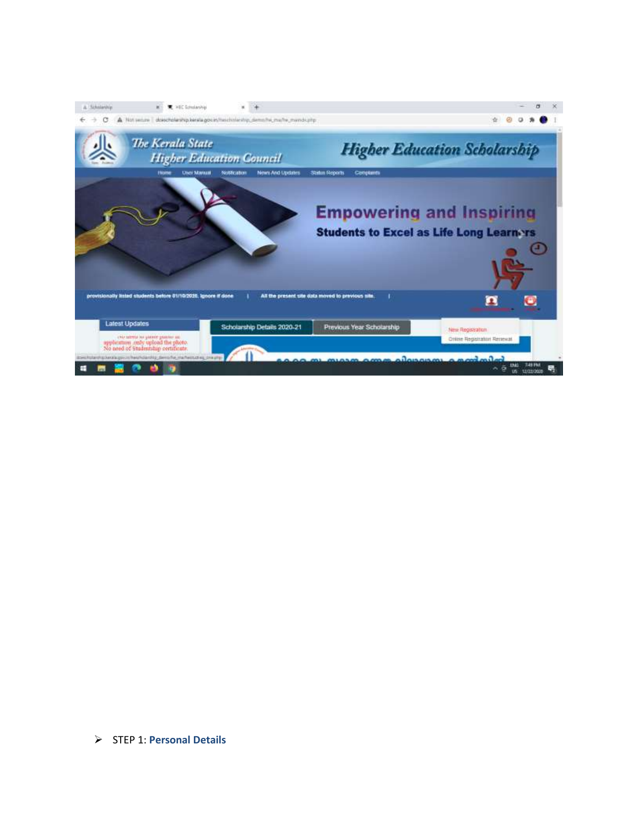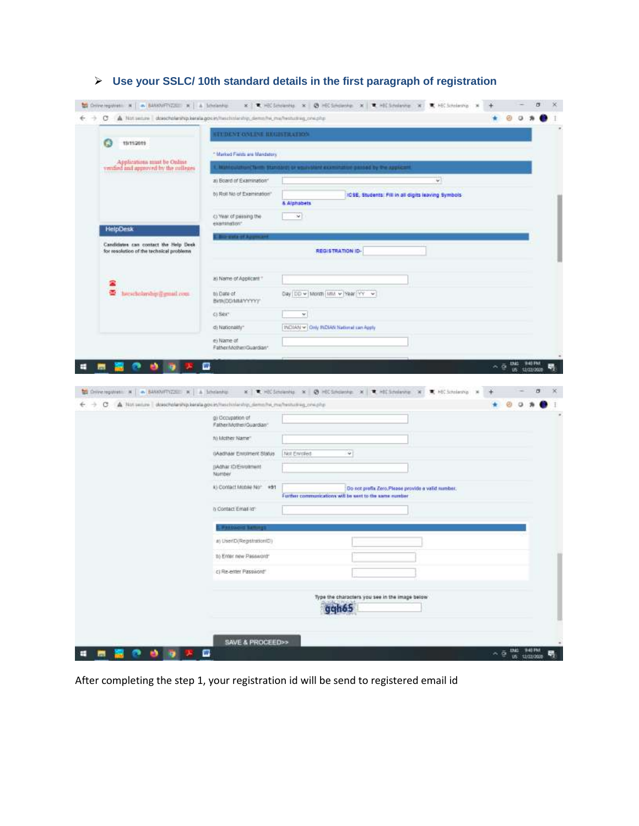|                                                                                                                                            | <b>STEDENT ONLINE BEGISTRATION</b>     |                                                                                                              |                                                    |
|--------------------------------------------------------------------------------------------------------------------------------------------|----------------------------------------|--------------------------------------------------------------------------------------------------------------|----------------------------------------------------|
| G<br>19/11/2019                                                                                                                            | * Marked Fields are Mandatory          |                                                                                                              |                                                    |
| Applications must be Online<br>vention and approved by the colleges                                                                        |                                        | <b>Nationalism</b> Term Stational or equivalent experient<br>or paised by the AUUUZ                          |                                                    |
|                                                                                                                                            | a) Board of Examination"               | ¥.                                                                                                           |                                                    |
|                                                                                                                                            | b) Roll No of Examination"             | ICSE, Students: Fill in all digits leaving Symbols.                                                          |                                                    |
|                                                                                                                                            |                                        | <b>&amp; Alphabets</b>                                                                                       |                                                    |
| <b>HelpDesk</b>                                                                                                                            | C) Year of passing the<br>examination* | $\mathcal{A}$                                                                                                |                                                    |
|                                                                                                                                            |                                        |                                                                                                              |                                                    |
| Candidates can contact the Help Desk<br>for resolution of the technical problems                                                           |                                        | REGISTRATION ID-                                                                                             |                                                    |
| 2                                                                                                                                          | a) Name of Applicant                   |                                                                                                              |                                                    |
| e.<br>herscholarship in musil root.                                                                                                        | to Date of<br>BKR(DDAMAYYYYY)          | Day DD = 18000 MM = Year YY =                                                                                |                                                    |
|                                                                                                                                            | CLSRX"                                 | ×                                                                                                            |                                                    |
|                                                                                                                                            | d) Nationality"                        | INDIAN - Only INDIAN National can Apply                                                                      |                                                    |
|                                                                                                                                            | e) Name of<br>Father/Mother/Guardian*  |                                                                                                              |                                                    |
|                                                                                                                                            |                                        |                                                                                                              |                                                    |
|                                                                                                                                            | m                                      |                                                                                                              | 15                                                 |
| C Oniversponses & A BANARTYZZED & A Minianhip<br>A Not secure dosscholarship, kerala governmentiteship, demons in methodolog, one php<br>С | g) Occupation of                       | x CHECLINING X @ HECLINING X CHECLINING X<br>K HE Scholarship 36                                             | $\sim$ $\bar{\odot}$ this separation<br>12/22/2020 |
|                                                                                                                                            | Father/Mother/Guardian*                |                                                                                                              |                                                    |
|                                                                                                                                            | 10 Mother Name?                        |                                                                                                              |                                                    |
|                                                                                                                                            | 0Aadhaar Enroment Status               | Not Enrolled<br>$\omega$                                                                                     |                                                    |
|                                                                                                                                            | DAdhar ID/Enrolment<br>Number          |                                                                                                              |                                                    |
|                                                                                                                                            | K) Contact Mobile Non #91              | Do not prefix Zero, Please provide a valid number.<br>Further communications will be sent to the same number |                                                    |
|                                                                                                                                            | b Contact Email (d1)                   |                                                                                                              |                                                    |
|                                                                                                                                            |                                        |                                                                                                              |                                                    |
|                                                                                                                                            | a) UserID(Registration(D)              |                                                                                                              |                                                    |
|                                                                                                                                            | 1) Erner new Password*                 |                                                                                                              |                                                    |
|                                                                                                                                            | c) Re-enter Password                   |                                                                                                              |                                                    |

# **Use your SSLC/ 10th standard details in the first paragraph of registration**

After completing the step 1, your registration id will be send to registered email id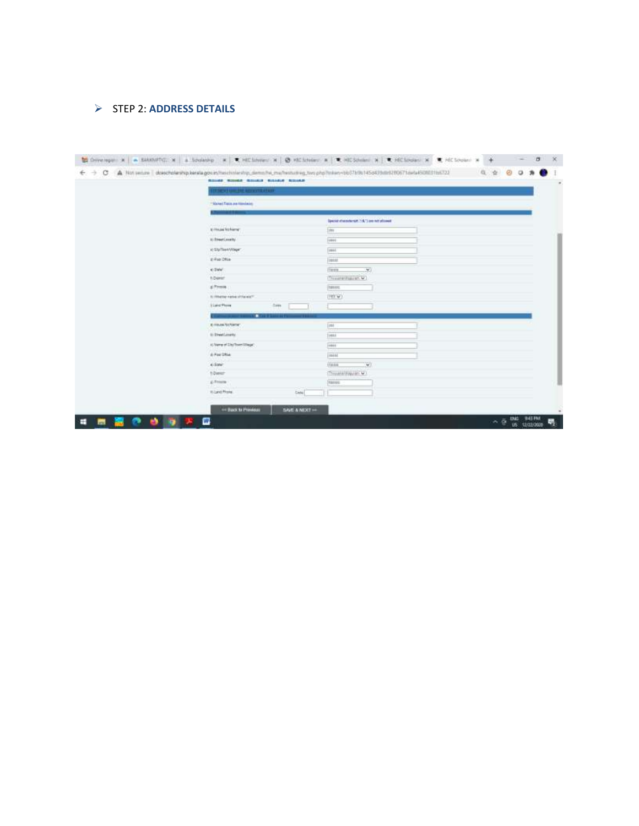### STEP 2: **ADDRESS DETAILS**

| The VI Grades agreements     |                                             |  |  |
|------------------------------|---------------------------------------------|--|--|
|                              |                                             |  |  |
| "Market Fields and Handacide |                                             |  |  |
|                              | Special sharesterist, 7.6.") are not played |  |  |
| Kritisaa National            | Ide                                         |  |  |
| Al Binesti, svetly.          | 1 mm                                        |  |  |
| In Styllee Wager             | Topped                                      |  |  |
| E-Poin DRUA                  | <b>June</b>                                 |  |  |
| e twe'                       | THEFT<br>$\mathcal{L}$                      |  |  |
| <b>NO emer-</b>              | (Threateningeres M)                         |  |  |
| ai Finoson                   | 398800                                      |  |  |
| It: Whether native of Formic | [193.47]                                    |  |  |
| <b>Tiant Phone</b><br>2m     |                                             |  |  |
| <b>ALCOHOL</b>               |                                             |  |  |
| <b>E-FINAN-NUNSETAT</b>      | Int                                         |  |  |
| 61 ElisatLongHV              | Types                                       |  |  |
| (clients of Shiftswithings)  | jemen                                       |  |  |
| A Fee Sha                    | instal                                      |  |  |
| 4-Solar                      | X)<br><b>Class</b>                          |  |  |
| 1-Dayser                     | Throughs/Stay/an W1                         |  |  |
| g) Freeze                    | <b>Naves</b>                                |  |  |
| <b>Kilant Risis</b>          | Cada)                                       |  |  |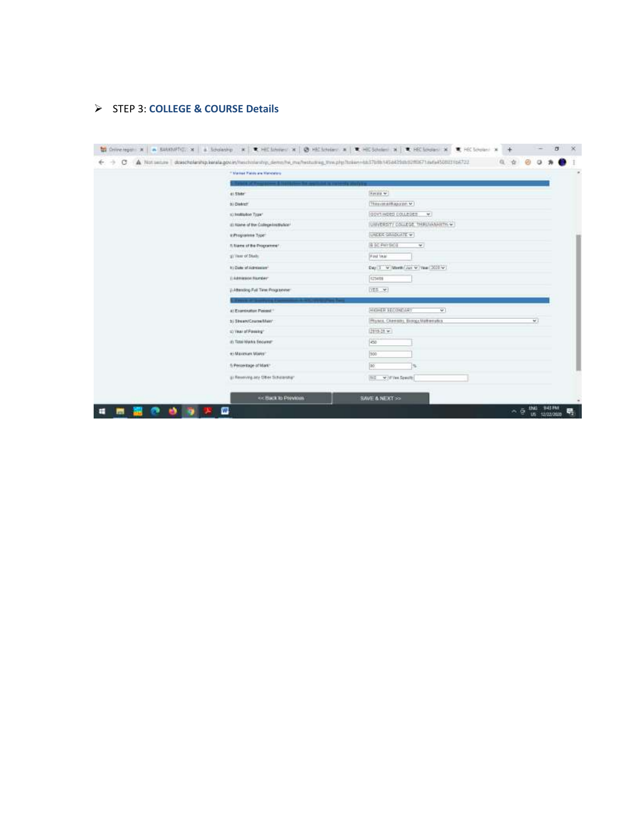### STEP 3: **COLLEGE & COURSE Details**

| ** Marked Paride are Mahdatore       |                                                          |
|--------------------------------------|----------------------------------------------------------|
|                                      |                                                          |
| di State"                            | <b>Reiss w</b>                                           |
| B) District                          | Thingyanadillappinn M.                                   |
| stringthation Traw!                  | GOVT/MDES COLLEGES<br>$+1$                               |
| (8) Name of the College Institution! | IUMVERSITY COLLEGE. THALVAMAILTH.W.                      |
| a Programme Type:                    | UNDER GRADUATE W.                                        |
| A liams of the Programme".           | <b>B SC PHYSICS</b><br>$\sim$                            |
| stilling of Study                    | First Vear                                               |
| It's Date of Admission*              |                                                          |
| (Listmaston Number)                  | 123409                                                   |
| (LABerellog Full Time Programme")    | YES w-                                                   |
|                                      |                                                          |
| a) Exercision Passet 1               | HIGHER SECONDARY<br>$\overline{\mathbf{v}}$              |
| b) Stream/Course/Main"               | Physics, Chemistry, Elcropy, Mathematics<br>$\mathbf{v}$ |
| (b) Year of Passag"                  | [2915-28 w]                                              |
| iti Tittel Marks Securer             | ico                                                      |
| to Maximum Mares*                    | 200                                                      |
| 5 Percentage of Mark*                | 20                                                       |
| g) Receiving any Other Scholarsham   | Hill y / IV vst Specify                                  |
| <b>EX Hack to Prevasias</b>          | SAVE & NEXT >>                                           |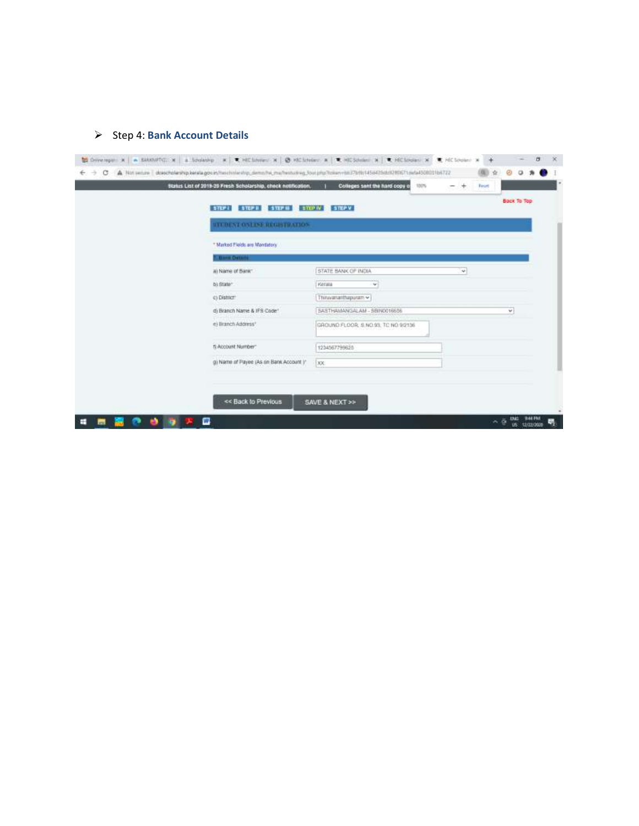# > Step 4: **Bank Account Details**

|                                         |                                     |        | Back To Top. |
|-----------------------------------------|-------------------------------------|--------|--------------|
| STEP: STEPH STEPH STEPH TRIPW STEPY     |                                     |        |              |
| <b>STUDENT ONLINE REGISTRATION:</b>     |                                     |        |              |
| * Marked Eleids are Mandatory           |                                     |        |              |
| 7. Bank Overalle                        |                                     |        |              |
| a) Name of Bank"                        | STATE BANK OF INDIA                 | $\sim$ |              |
| b) State                                | <b>Ketara</b><br>w.                 |        |              |
| c) District                             | Thinwarrasthapuram ~                |        |              |
| d) Branch Name & IFS Code"              | SASTHAMANGALAM - SEIN0016656        |        | v            |
| e) Eranch Address*<br>standard and      | GROUND FLOOR: 5 NO.93, TC NO.9/2136 |        |              |
| 11 Account Number:                      | 1234567799625                       |        |              |
| g) Name of Payee (As on Bank Account )" | <b>XX</b>                           |        |              |
|                                         |                                     |        |              |
|                                         |                                     |        |              |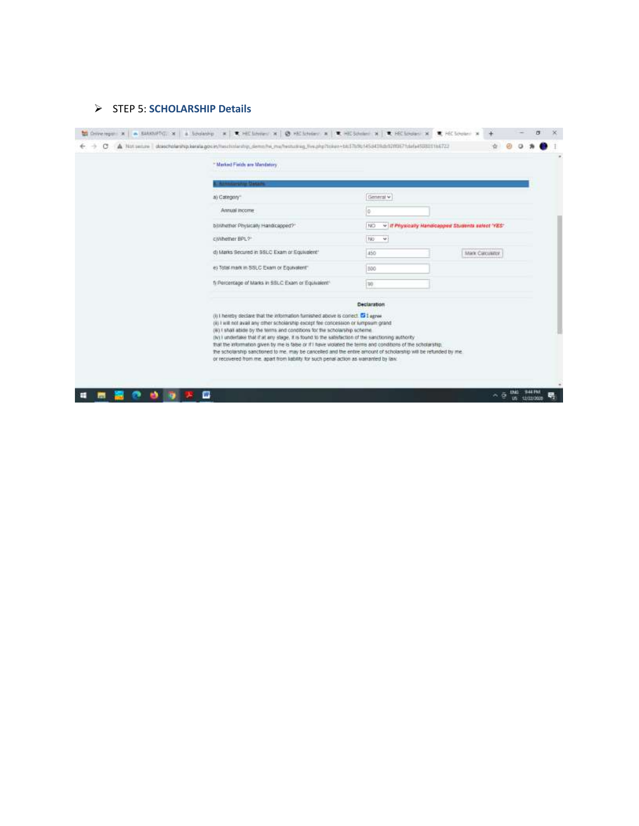### STEP 5: **SCHOLARSHIP Details**

| * Marked Fields are Mandatory                                                                                                                                                                                                                                                                                                                                                                                                                                                                                                                                                                  |                                                           |                 |  |  |
|------------------------------------------------------------------------------------------------------------------------------------------------------------------------------------------------------------------------------------------------------------------------------------------------------------------------------------------------------------------------------------------------------------------------------------------------------------------------------------------------------------------------------------------------------------------------------------------------|-----------------------------------------------------------|-----------------|--|--|
|                                                                                                                                                                                                                                                                                                                                                                                                                                                                                                                                                                                                |                                                           |                 |  |  |
| a) Category                                                                                                                                                                                                                                                                                                                                                                                                                                                                                                                                                                                    | General w                                                 |                 |  |  |
| Annual income                                                                                                                                                                                                                                                                                                                                                                                                                                                                                                                                                                                  | o                                                         |                 |  |  |
| byWhether Physically Handicapped?"                                                                                                                                                                                                                                                                                                                                                                                                                                                                                                                                                             | v : if Physically Handicapped Students select 'YES'<br>NO |                 |  |  |
| CIVITIether BPL?                                                                                                                                                                                                                                                                                                                                                                                                                                                                                                                                                                               | No<br>-93                                                 |                 |  |  |
| d) Marks Secured in BSLC Exam or Equivalent*                                                                                                                                                                                                                                                                                                                                                                                                                                                                                                                                                   | 450                                                       | Mark Carculator |  |  |
| e) Total mark in SSLC Exam or Equivalent"                                                                                                                                                                                                                                                                                                                                                                                                                                                                                                                                                      | 300                                                       |                 |  |  |
| f) Rencentage of Marks in SSLC Exam or Equivalent®                                                                                                                                                                                                                                                                                                                                                                                                                                                                                                                                             | $\Rightarrow$                                             |                 |  |  |
|                                                                                                                                                                                                                                                                                                                                                                                                                                                                                                                                                                                                | <b>Declaration</b>                                        |                 |  |  |
| (ii) I hereby declare that the information furnished above is correct. Co I agree<br>(ii) I will not avail any other scholarship except fee concession or lumpsum grand<br>(6) I shall abide by the terms and conditions for the scholarship scheme.<br>(iv) I underlake that if at any stage, it is found to the satisfaction of the sanctioning authority<br>that the information given by me is false or If I have violated the terms and conditions of the scholarship.<br>the scholarship sanctioned to me, may be cancelled and the entire amount of scholarship will be refunded by me. |                                                           |                 |  |  |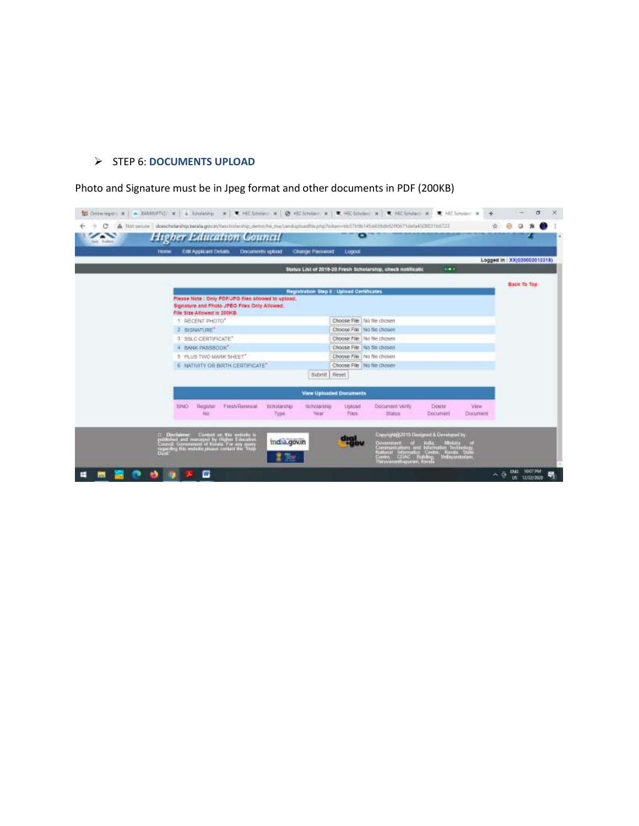## STEP 6: **DOCUMENTS UPLOAD**

Photo and Signature must be in Jpeg format and other documents in PDF (200KB)

| <b>Test: Scoleme</b> | <b>Higher Education Council</b><br>Edit Applicant Distant<br>Documents upload<br><b>Change Password</b><br><b>Hume</b>                                                                                                                                                              |                                                                                                                                                                                                                                               |                             |
|----------------------|-------------------------------------------------------------------------------------------------------------------------------------------------------------------------------------------------------------------------------------------------------------------------------------|-----------------------------------------------------------------------------------------------------------------------------------------------------------------------------------------------------------------------------------------------|-----------------------------|
|                      |                                                                                                                                                                                                                                                                                     | Logni                                                                                                                                                                                                                                         | Logged in: XX(020002012218) |
|                      |                                                                                                                                                                                                                                                                                     | ide di<br>Status List of 2015-20 Fresh Scholarship, check hotificatio                                                                                                                                                                         |                             |
|                      |                                                                                                                                                                                                                                                                                     | Registration Step E : Upboad Certificates                                                                                                                                                                                                     | Back To Top                 |
|                      | Please Note : Only POF/JPG files allowed to upload.<br>Signature and Photo JPEG Files Only Allowed.<br>File Size Allowed is 200KB<br>RECENT PHOTO*<br>SIGNATURE"<br>œ<br>3 BSLC CERTIFICATE*<br>BANK PASSBOOK"<br>5 PLUS TWO MARK SHEET"<br><b>6 NATIVITY OR BIRTH CERTIFICATE*</b> | Choose File   No file chosen<br>Choose File No file chosen<br>Choose File   No file chosen<br>Choose File No file chosen<br>Choose File   No file chosen<br>Choose File No file chosen<br>Reset<br><b>Submit</b>                              |                             |
|                      |                                                                                                                                                                                                                                                                                     | <b>View Uploaded Documents</b>                                                                                                                                                                                                                |                             |
|                      | <b>Fresh Renewal</b><br><b>BINO</b><br>Register<br>ticholarates<br>No <sup>1</sup><br>Type                                                                                                                                                                                          | Document Verify<br><b>Scholarship</b><br>Vitra/<br><b>Lipinad</b><br>Detete:<br>Year<br>Fikis.<br><b>Stanue</b><br>Document<br>Document                                                                                                       |                             |
|                      | C. Disclaimer - Contast on the website is<br>published and managed by Haper Education<br>Counter Government of Hawke For any query<br>counting the website planes contact the Thop<br>Data*<br>india.gov.in                                                                         | Copyright@2019 Designed & Devationd by<br>Constructs of Italia, Ministry of<br>Communications and Internation Technology,<br>National Information Centre, Herata State<br>Centre, CDAC Italiang, Indianapolishin<br>Theoremethiquenes, Kerata |                             |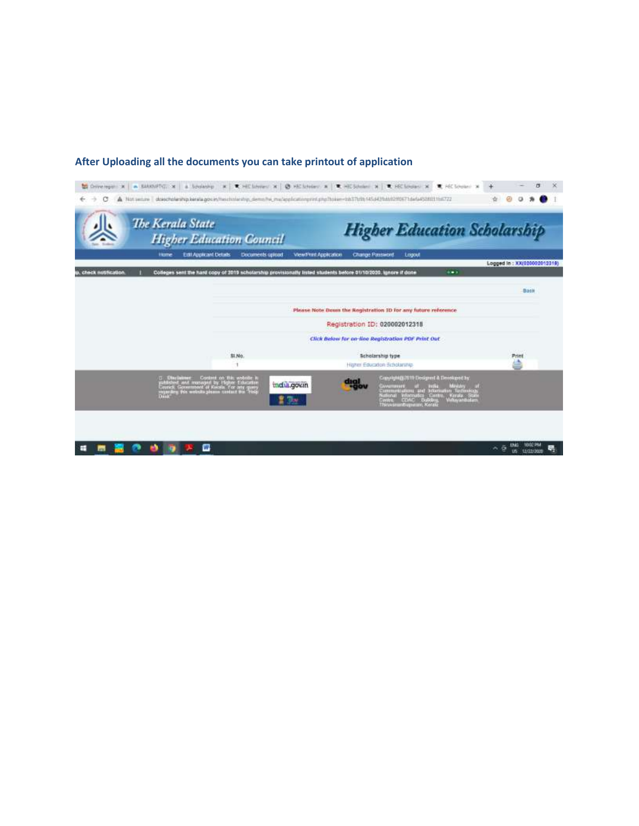

### **After Uploading all the documents you can take printout of application**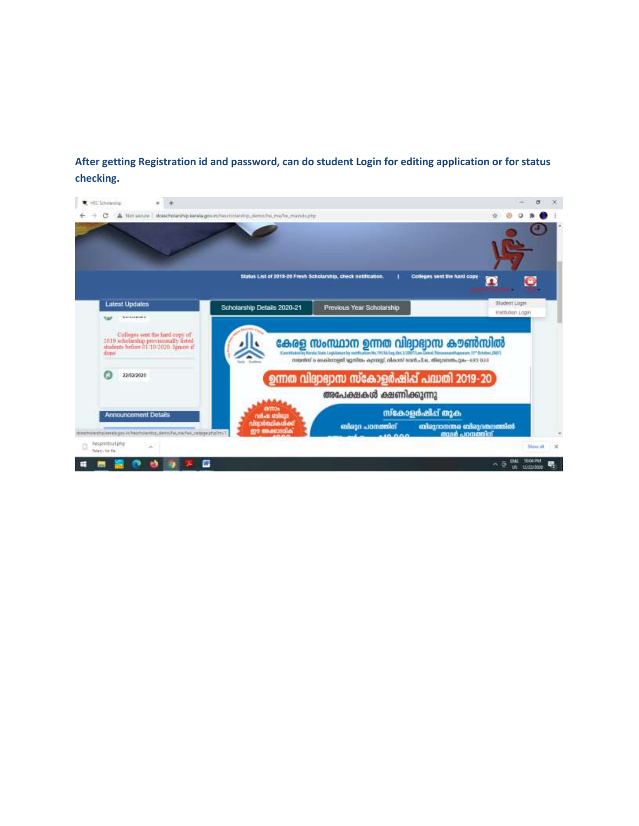**After getting Registration id and password, can do student Login for editing application or for status checking.**